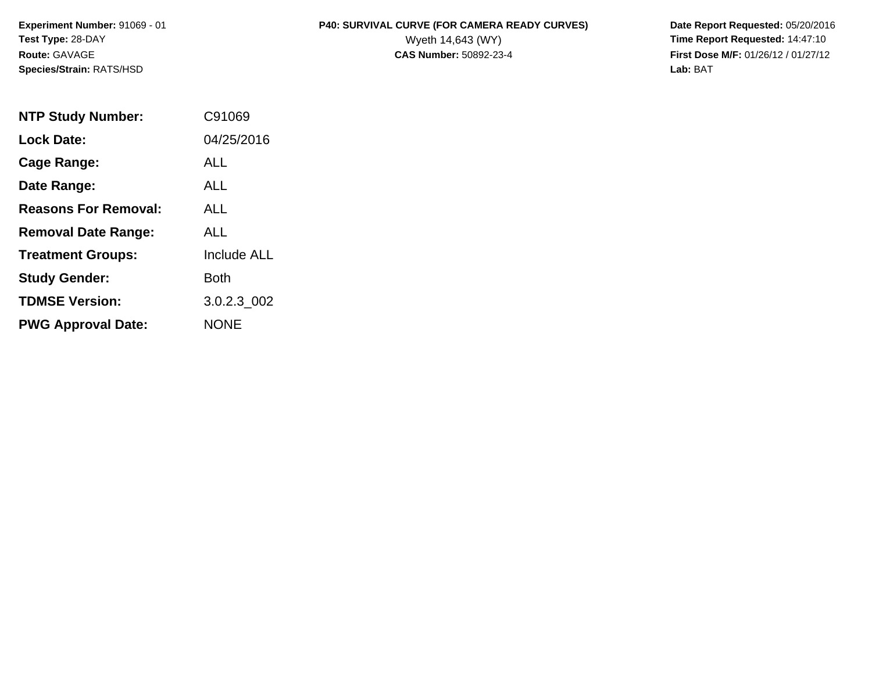**Species/Strain:** RATS/HSD **Lab:** BAT

## **Experiment Number:** 91069 - 01 **P40: SURVIVAL CURVE (FOR CAMERA READY CURVES) Date Report Requested:** 05/20/2016 **Test Type:** 28-DAY Wyeth 14,643 (WY) **Time Report Requested:** 14:47:10

**Route:** GAVAGE **CAS Number:** 50892-23-4 **First Dose M/F:** 01/26/12 / 01/27/12

| <b>NTP Study Number:</b>    | C91069             |
|-----------------------------|--------------------|
| <b>Lock Date:</b>           | 04/25/2016         |
| Cage Range:                 | ALL                |
| Date Range:                 | ALL                |
| <b>Reasons For Removal:</b> | AI I               |
| <b>Removal Date Range:</b>  | ALL                |
| <b>Treatment Groups:</b>    | <b>Include ALL</b> |
| <b>Study Gender:</b>        | Both               |
| <b>TDMSE Version:</b>       | 3.0.2.3 002        |
| <b>PWG Approval Date:</b>   | NONE               |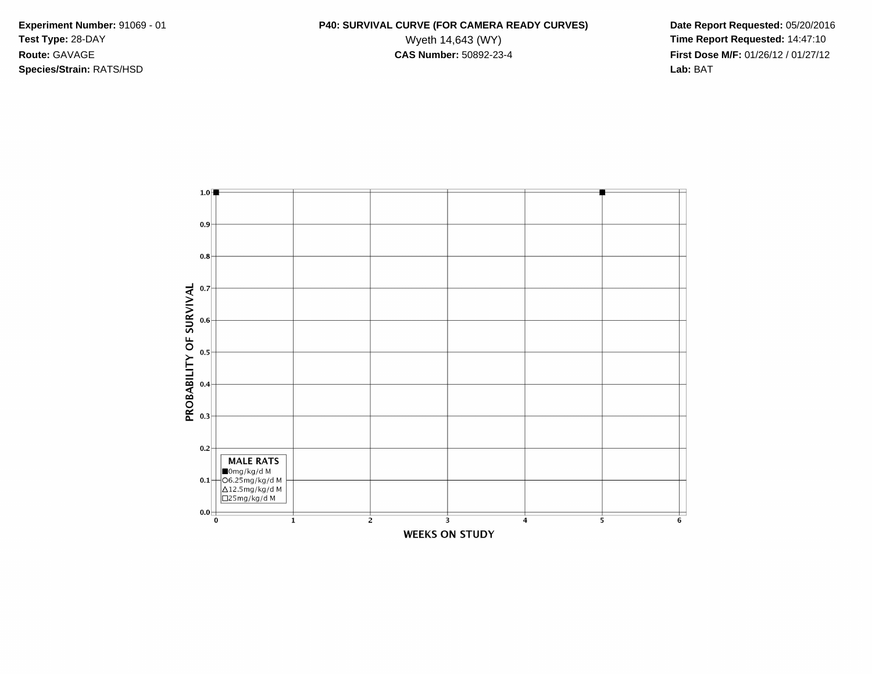**Species/Strain:** RATS/HSD **Lab:** BAT